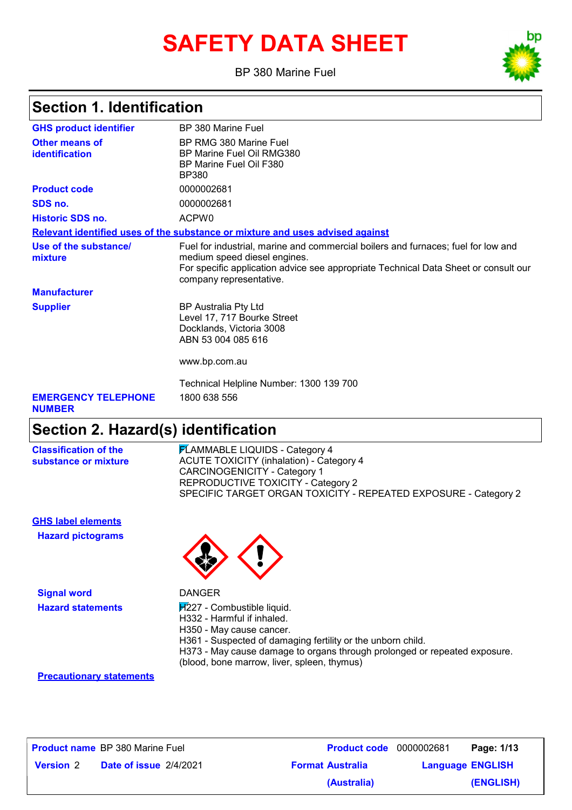# **SAFETY DATA SHEET**

BP 380 Marine Fuel



## **Section 1. Identification**

| <b>GHS product identifier</b>               | BP 380 Marine Fuel                                                                                                                                                                                                                  |
|---------------------------------------------|-------------------------------------------------------------------------------------------------------------------------------------------------------------------------------------------------------------------------------------|
| Other means of<br>identification            | BP RMG 380 Marine Fuel<br>BP Marine Fuel Oil RMG380<br>BP Marine Fuel Oil F380<br>BP380                                                                                                                                             |
| <b>Product code</b>                         | 0000002681                                                                                                                                                                                                                          |
| SDS no.                                     | 0000002681                                                                                                                                                                                                                          |
| <b>Historic SDS no.</b>                     | ACPW <sub>0</sub>                                                                                                                                                                                                                   |
|                                             | Relevant identified uses of the substance or mixture and uses advised against                                                                                                                                                       |
| Use of the substance/<br>mixture            | Fuel for industrial, marine and commercial boilers and furnaces; fuel for low and<br>medium speed diesel engines.<br>For specific application advice see appropriate Technical Data Sheet or consult our<br>company representative. |
| <b>Manufacturer</b>                         |                                                                                                                                                                                                                                     |
| <b>Supplier</b>                             | <b>BP Australia Pty Ltd</b><br>Level 17, 717 Bourke Street<br>Docklands, Victoria 3008<br>ABN 53 004 085 616                                                                                                                        |
|                                             | www.bp.com.au                                                                                                                                                                                                                       |
|                                             | Technical Helpline Number: 1300 139 700                                                                                                                                                                                             |
| <b>EMERGENCY TELEPHONE</b><br><b>NUMBER</b> | 1800 638 556                                                                                                                                                                                                                        |
| .                                           |                                                                                                                                                                                                                                     |

#### **Section 2. Hazard(s) identification**

**Classification of the substance or mixture** **FLAMMABLE LIQUIDS - Category 4** ACUTE TOXICITY (inhalation) - Category 4 CARCINOGENICITY - Category 1 REPRODUCTIVE TOXICITY - Category 2 SPECIFIC TARGET ORGAN TOXICITY - REPEATED EXPOSURE - Category 2

**Hazard pictograms GHS label elements**

**Signal word** DANGER



- Hazard statements **H**<sup>227</sup> Combustible liquid.
	- H332 Harmful if inhaled.
	- H350 May cause cancer.
	- H361 Suspected of damaging fertility or the unborn child.
	- H373 May cause damage to organs through prolonged or repeated exposure.
	- (blood, bone marrow, liver, spleen, thymus)

#### **Precautionary statements**

|                  | <b>Product name</b> BP 380 Marine Fuel | <b>Product code</b> 0000002681 |                         | Page: 1/13 |
|------------------|----------------------------------------|--------------------------------|-------------------------|------------|
| <b>Version 2</b> | <b>Date of issue 2/4/2021</b>          | <b>Format Australia</b>        | <b>Language ENGLISH</b> |            |
|                  |                                        | (Australia)                    |                         | (ENGLISH)  |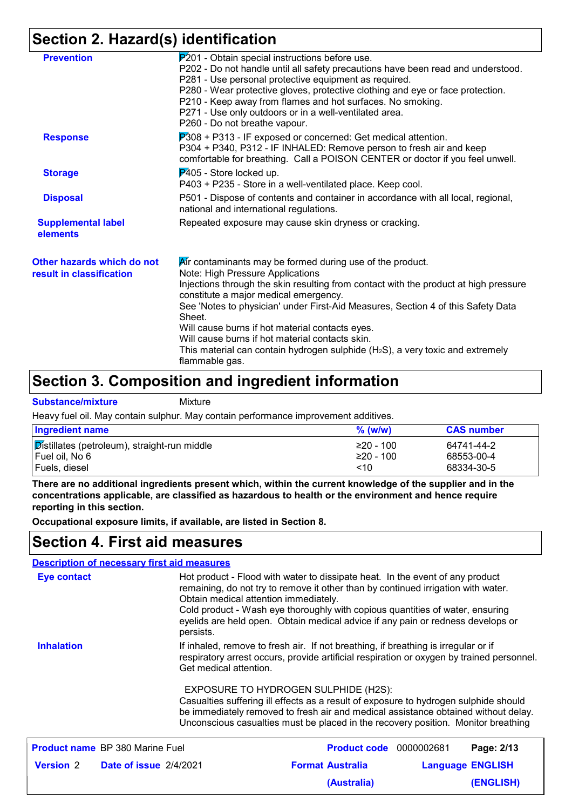## **Section 2. Hazard(s) identification**

| <b>Prevention</b>          | P201 - Obtain special instructions before use.                                       |
|----------------------------|--------------------------------------------------------------------------------------|
|                            | P202 - Do not handle until all safety precautions have been read and understood.     |
|                            | P281 - Use personal protective equipment as required.                                |
|                            | P280 - Wear protective gloves, protective clothing and eye or face protection.       |
|                            | P210 - Keep away from flames and hot surfaces. No smoking.                           |
|                            | P271 - Use only outdoors or in a well-ventilated area.                               |
|                            | P260 - Do not breathe vapour.                                                        |
| <b>Response</b>            | P308 + P313 - IF exposed or concerned: Get medical attention.                        |
|                            | P304 + P340, P312 - IF INHALED: Remove person to fresh air and keep                  |
|                            | comfortable for breathing. Call a POISON CENTER or doctor if you feel unwell.        |
| <b>Storage</b>             | P405 - Store locked up.                                                              |
|                            | P403 + P235 - Store in a well-ventilated place. Keep cool.                           |
| <b>Disposal</b>            | P501 - Dispose of contents and container in accordance with all local, regional,     |
|                            | national and international regulations.                                              |
| <b>Supplemental label</b>  | Repeated exposure may cause skin dryness or cracking.                                |
| elements                   |                                                                                      |
| Other hazards which do not | Air contaminants may be formed during use of the product.                            |
| result in classification   | Note: High Pressure Applications                                                     |
|                            | Injections through the skin resulting from contact with the product at high pressure |
|                            | constitute a major medical emergency.                                                |
|                            | See 'Notes to physician' under First-Aid Measures, Section 4 of this Safety Data     |
|                            | Sheet.                                                                               |
|                            | Will cause burns if hot material contacts eyes.                                      |
|                            | Will cause burns if hot material contacts skin.                                      |
|                            | This material can contain hydrogen sulphide $(H_2S)$ , a very toxic and extremely    |
|                            | flammable gas.                                                                       |

#### **Section 3. Composition and ingredient information**

**Substance/mixture** Mixture

Heavy fuel oil. May contain sulphur. May contain performance improvement additives.

| <b>Ingredient name</b>                       | $%$ (w/w)   | <b>CAS</b> number |
|----------------------------------------------|-------------|-------------------|
| Distillates (petroleum), straight-run middle | $≥20 - 100$ | 64741-44-2        |
| Fuel oil, No 6                               | ≥20 - 100   | 68553-00-4        |
| Fuels, diesel                                | ~10         | 68334-30-5        |

**There are no additional ingredients present which, within the current knowledge of the supplier and in the concentrations applicable, are classified as hazardous to health or the environment and hence require reporting in this section.**

**Occupational exposure limits, if available, are listed in Section 8.**

#### **Section 4. First aid measures**

|                                                                                                                                                                                                                                                                                                                                                                                                             |                                         | <b>Description of necessary first aid measures</b> |                                                                                                                                                                         |  |                         |
|-------------------------------------------------------------------------------------------------------------------------------------------------------------------------------------------------------------------------------------------------------------------------------------------------------------------------------------------------------------------------------------------------------------|-----------------------------------------|----------------------------------------------------|-------------------------------------------------------------------------------------------------------------------------------------------------------------------------|--|-------------------------|
| Hot product - Flood with water to dissipate heat. In the event of any product<br>Eye contact<br>remaining, do not try to remove it other than by continued irrigation with water.<br>Obtain medical attention immediately.<br>Cold product - Wash eye thoroughly with copious quantities of water, ensuring<br>eyelids are held open. Obtain medical advice if any pain or redness develops or<br>persists. |                                         |                                                    |                                                                                                                                                                         |  |                         |
| <b>Inhalation</b><br>If inhaled, remove to fresh air. If not breathing, if breathing is irregular or if<br>respiratory arrest occurs, provide artificial respiration or oxygen by trained personnel.<br>Get medical attention.<br>EXPOSURE TO HYDROGEN SULPHIDE (H2S):<br>Casualties suffering ill effects as a result of exposure to hydrogen sulphide should                                              |                                         |                                                    |                                                                                                                                                                         |  |                         |
|                                                                                                                                                                                                                                                                                                                                                                                                             |                                         |                                                    | be immediately removed to fresh air and medical assistance obtained without delay.<br>Unconscious casualties must be placed in the recovery position. Monitor breathing |  |                         |
|                                                                                                                                                                                                                                                                                                                                                                                                             | <b>Product name</b> BP 380 Marine Fuel  |                                                    | <b>Product code</b> 0000002681                                                                                                                                          |  | Page: 2/13              |
|                                                                                                                                                                                                                                                                                                                                                                                                             | <b>Version 2 Date of issue 2/4/2021</b> |                                                    | <b>Format Australia</b>                                                                                                                                                 |  | <b>Language ENGLISH</b> |
|                                                                                                                                                                                                                                                                                                                                                                                                             |                                         |                                                    | (Australia)                                                                                                                                                             |  | <b>(ENGLISH)</b>        |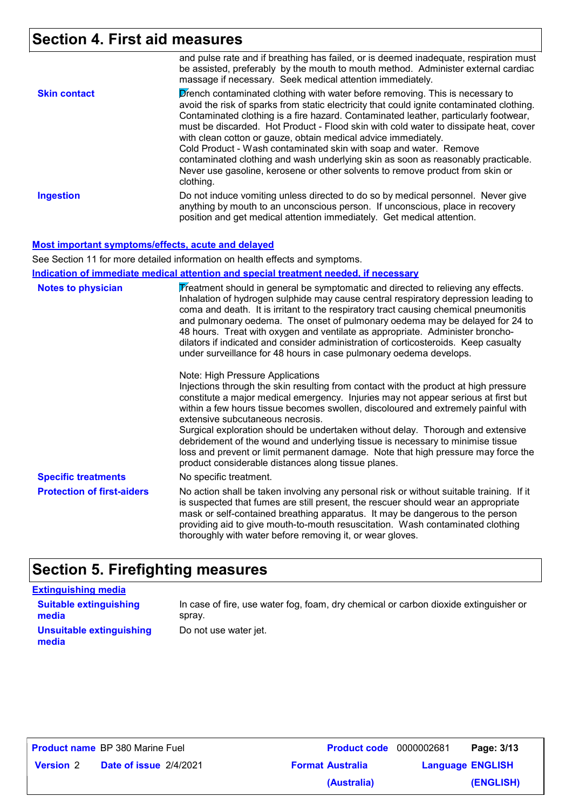## **Section 4. First aid measures**

|                     | and pulse rate and if breathing has failed, or is deemed inadequate, respiration must<br>be assisted, preferably by the mouth to mouth method. Administer external cardiac<br>massage if necessary. Seek medical attention immediately.                                                                                                                                                                                                                                                                                                                                                                                                                                              |
|---------------------|--------------------------------------------------------------------------------------------------------------------------------------------------------------------------------------------------------------------------------------------------------------------------------------------------------------------------------------------------------------------------------------------------------------------------------------------------------------------------------------------------------------------------------------------------------------------------------------------------------------------------------------------------------------------------------------|
| <b>Skin contact</b> | Drench contaminated clothing with water before removing. This is necessary to<br>avoid the risk of sparks from static electricity that could ignite contaminated clothing.<br>Contaminated clothing is a fire hazard. Contaminated leather, particularly footwear,<br>must be discarded. Hot Product - Flood skin with cold water to dissipate heat, cover<br>with clean cotton or gauze, obtain medical advice immediately.<br>Cold Product - Wash contaminated skin with soap and water. Remove<br>contaminated clothing and wash underlying skin as soon as reasonably practicable.<br>Never use gasoline, kerosene or other solvents to remove product from skin or<br>clothing. |
| <b>Ingestion</b>    | Do not induce vomiting unless directed to do so by medical personnel. Never give<br>anything by mouth to an unconscious person. If unconscious, place in recovery<br>position and get medical attention immediately. Get medical attention.                                                                                                                                                                                                                                                                                                                                                                                                                                          |

**Most important symptoms/effects, acute and delayed**

See Section 11 for more detailed information on health effects and symptoms.

**Indication of immediate medical attention and special treatment needed, if necessary**

| <b>Notes to physician</b>         | Treatment should in general be symptomatic and directed to relieving any effects.<br>Inhalation of hydrogen sulphide may cause central respiratory depression leading to<br>coma and death. It is irritant to the respiratory tract causing chemical pneumonitis<br>and pulmonary oedema. The onset of pulmonary oedema may be delayed for 24 to<br>48 hours. Treat with oxygen and ventilate as appropriate. Administer broncho-<br>dilators if indicated and consider administration of corticosteroids. Keep casualty<br>under surveillance for 48 hours in case pulmonary oedema develops.                                                           |
|-----------------------------------|----------------------------------------------------------------------------------------------------------------------------------------------------------------------------------------------------------------------------------------------------------------------------------------------------------------------------------------------------------------------------------------------------------------------------------------------------------------------------------------------------------------------------------------------------------------------------------------------------------------------------------------------------------|
|                                   | Note: High Pressure Applications<br>Injections through the skin resulting from contact with the product at high pressure<br>constitute a major medical emergency. Injuries may not appear serious at first but<br>within a few hours tissue becomes swollen, discoloured and extremely painful with<br>extensive subcutaneous necrosis.<br>Surgical exploration should be undertaken without delay. Thorough and extensive<br>debridement of the wound and underlying tissue is necessary to minimise tissue<br>loss and prevent or limit permanent damage. Note that high pressure may force the<br>product considerable distances along tissue planes. |
| <b>Specific treatments</b>        | No specific treatment.                                                                                                                                                                                                                                                                                                                                                                                                                                                                                                                                                                                                                                   |
| <b>Protection of first-aiders</b> | No action shall be taken involving any personal risk or without suitable training. If it<br>is suspected that fumes are still present, the rescuer should wear an appropriate<br>mask or self-contained breathing apparatus. It may be dangerous to the person<br>providing aid to give mouth-to-mouth resuscitation. Wash contaminated clothing<br>thoroughly with water before removing it, or wear gloves.                                                                                                                                                                                                                                            |

## **Section 5. Firefighting measures**

#### **Extinguishing media**

**Suitable extinguishing media Unsuitable extinguishing media**

In case of fire, use water fog, foam, dry chemical or carbon dioxide extinguisher or spray.

Do not use water jet.

|                      | <b>Product name</b> BP 380 Marine Fuel |  |
|----------------------|----------------------------------------|--|
| Marcian <sup>2</sup> | $Data$ of incurs $2/4/202$             |  |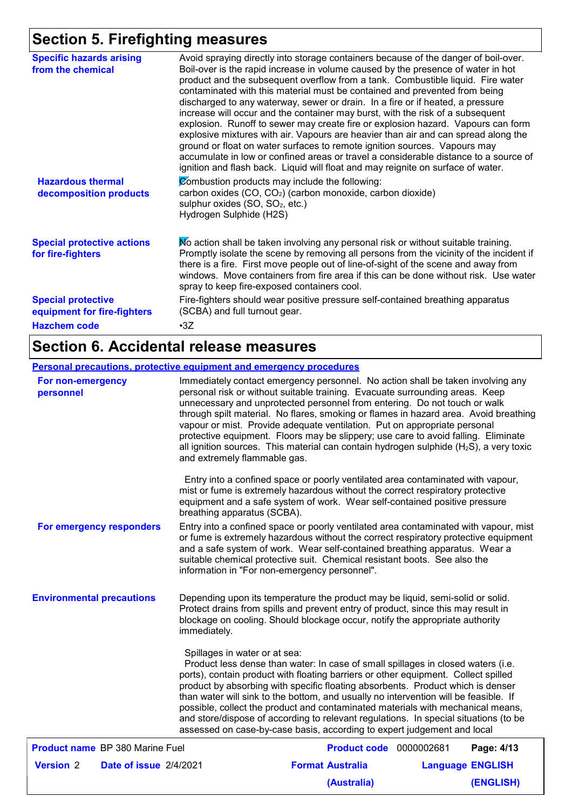## **Section 5. Firefighting measures**

| <b>Specific hazards arising</b><br>from the chemical                            | Avoid spraying directly into storage containers because of the danger of boil-over.<br>Boil-over is the rapid increase in volume caused by the presence of water in hot<br>product and the subsequent overflow from a tank. Combustible liquid. Fire water<br>contaminated with this material must be contained and prevented from being<br>discharged to any waterway, sewer or drain. In a fire or if heated, a pressure<br>increase will occur and the container may burst, with the risk of a subsequent<br>explosion. Runoff to sewer may create fire or explosion hazard. Vapours can form<br>explosive mixtures with air. Vapours are heavier than air and can spread along the<br>ground or float on water surfaces to remote ignition sources. Vapours may<br>accumulate in low or confined areas or travel a considerable distance to a source of<br>ignition and flash back. Liquid will float and may reignite on surface of water. |
|---------------------------------------------------------------------------------|-------------------------------------------------------------------------------------------------------------------------------------------------------------------------------------------------------------------------------------------------------------------------------------------------------------------------------------------------------------------------------------------------------------------------------------------------------------------------------------------------------------------------------------------------------------------------------------------------------------------------------------------------------------------------------------------------------------------------------------------------------------------------------------------------------------------------------------------------------------------------------------------------------------------------------------------------|
| <b>Hazardous thermal</b><br>decomposition products                              | Combustion products may include the following:<br>carbon oxides (CO, CO <sub>2</sub> ) (carbon monoxide, carbon dioxide)<br>sulphur oxides (SO, SO <sub>2</sub> , etc.)<br>Hydrogen Sulphide (H2S)                                                                                                                                                                                                                                                                                                                                                                                                                                                                                                                                                                                                                                                                                                                                              |
| <b>Special protective actions</b><br>for fire-fighters                          | No action shall be taken involving any personal risk or without suitable training.<br>Promptly isolate the scene by removing all persons from the vicinity of the incident if<br>there is a fire. First move people out of line-of-sight of the scene and away from<br>windows. Move containers from fire area if this can be done without risk. Use water<br>spray to keep fire-exposed containers cool.                                                                                                                                                                                                                                                                                                                                                                                                                                                                                                                                       |
| <b>Special protective</b><br>equipment for fire-fighters<br><b>Hazchem code</b> | Fire-fighters should wear positive pressure self-contained breathing apparatus<br>(SCBA) and full turnout gear.<br>$\cdot$ 3Z                                                                                                                                                                                                                                                                                                                                                                                                                                                                                                                                                                                                                                                                                                                                                                                                                   |

## **Section 6. Accidental release measures**

#### **Personal precautions, protective equipment and emergency procedures**

| For non-emergency<br>personnel   |                                        | and extremely flammable gas.                  | Immediately contact emergency personnel. No action shall be taken involving any<br>personal risk or without suitable training. Evacuate surrounding areas. Keep<br>unnecessary and unprotected personnel from entering. Do not touch or walk<br>through spilt material. No flares, smoking or flames in hazard area. Avoid breathing<br>vapour or mist. Provide adequate ventilation. Put on appropriate personal<br>protective equipment. Floors may be slippery; use care to avoid falling. Eliminate<br>all ignition sources. This material can contain hydrogen sulphide $(H_2S)$ , a very toxic    |                         |
|----------------------------------|----------------------------------------|-----------------------------------------------|---------------------------------------------------------------------------------------------------------------------------------------------------------------------------------------------------------------------------------------------------------------------------------------------------------------------------------------------------------------------------------------------------------------------------------------------------------------------------------------------------------------------------------------------------------------------------------------------------------|-------------------------|
|                                  |                                        | breathing apparatus (SCBA).                   | Entry into a confined space or poorly ventilated area contaminated with vapour,<br>mist or fume is extremely hazardous without the correct respiratory protective<br>equipment and a safe system of work. Wear self-contained positive pressure                                                                                                                                                                                                                                                                                                                                                         |                         |
|                                  | For emergency responders               | information in "For non-emergency personnel". | Entry into a confined space or poorly ventilated area contaminated with vapour, mist<br>or fume is extremely hazardous without the correct respiratory protective equipment<br>and a safe system of work. Wear self-contained breathing apparatus. Wear a<br>suitable chemical protective suit. Chemical resistant boots. See also the                                                                                                                                                                                                                                                                  |                         |
| <b>Environmental precautions</b> |                                        | immediately.                                  | Depending upon its temperature the product may be liquid, semi-solid or solid.<br>Protect drains from spills and prevent entry of product, since this may result in<br>blockage on cooling. Should blockage occur, notify the appropriate authority                                                                                                                                                                                                                                                                                                                                                     |                         |
|                                  |                                        | Spillages in water or at sea:                 | Product less dense than water: In case of small spillages in closed waters (i.e.<br>ports), contain product with floating barriers or other equipment. Collect spilled<br>product by absorbing with specific floating absorbents. Product which is denser<br>than water will sink to the bottom, and usually no intervention will be feasible. If<br>possible, collect the product and contaminated materials with mechanical means,<br>and store/dispose of according to relevant regulations. In special situations (to be<br>assessed on case-by-case basis, according to expert judgement and local |                         |
|                                  | <b>Product name BP 380 Marine Fuel</b> |                                               | <b>Product code</b> 0000002681                                                                                                                                                                                                                                                                                                                                                                                                                                                                                                                                                                          | Page: 4/13              |
| <b>Version 2</b>                 | Date of issue 2/4/2021                 |                                               | <b>Format Australia</b>                                                                                                                                                                                                                                                                                                                                                                                                                                                                                                                                                                                 | <b>Language ENGLISH</b> |
|                                  |                                        |                                               | (Australia)                                                                                                                                                                                                                                                                                                                                                                                                                                                                                                                                                                                             | (ENGLISH)               |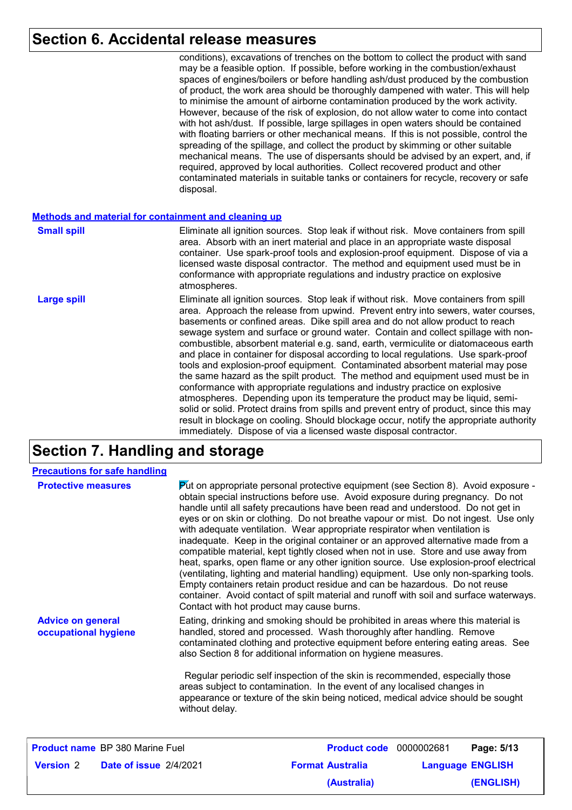#### **Section 6. Accidental release measures**

Eliminate all ignition sources. Stop leak if without risk. Move containers from spill area. Approach the release from upwind. Prevent entry into sewers, water courses, basements or confined areas. Dike spill area and do not allow product to reach sewage system and surface or ground water. Contain and collect spillage with noncombustible, absorbent material e.g. sand, earth, vermiculite or diatomaceous earth and place in container for disposal according to local regulations. Use spark-proof tools and explosion-proof equipment. Contaminated absorbent material may pose the same hazard as the spilt product. The method and equipment used must be in conformance with appropriate regulations and industry practice on explosive atmospheres. Depending upon its temperature the product may be liquid, semisolid or solid. Protect drains from spills and prevent entry of product, since this may result in blockage on cooling. Should blockage occur, notify the appropriate authority immediately. Dispose of via a licensed waste disposal contractor. conditions), excavations of trenches on the bottom to collect the product with sand may be a feasible option. If possible, before working in the combustion/exhaust spaces of engines/boilers or before handling ash/dust produced by the combustion of product, the work area should be thoroughly dampened with water. This will help to minimise the amount of airborne contamination produced by the work activity. However, because of the risk of explosion, do not allow water to come into contact with hot ash/dust. If possible, large spillages in open waters should be contained with floating barriers or other mechanical means. If this is not possible, control the spreading of the spillage, and collect the product by skimming or other suitable mechanical means. The use of dispersants should be advised by an expert, and, if required, approved by local authorities. Collect recovered product and other contaminated materials in suitable tanks or containers for recycle, recovery or safe disposal. **Large spill** Eliminate all ignition sources. Stop leak if without risk. Move containers from spill area. Absorb with an inert material and place in an appropriate waste disposal container. Use spark-proof tools and explosion-proof equipment. Dispose of via a licensed waste disposal contractor. The method and equipment used must be in conformance with appropriate regulations and industry practice on explosive atmospheres. **Small spill Methods and material for containment and cleaning up**

#### **Section 7. Handling and storage**

|                                                                                                                                                                                                                                                                                                                                                                                                                                                                                                                                                                                                                                                                                                                                                                                                                                                                                                                                                                                                                                                                                                                                                 | <b>Precautions for safe handling</b>   |  |                                                                                                                                                                                                                                                                                                                                                                                                                                                                              |  |                         |
|-------------------------------------------------------------------------------------------------------------------------------------------------------------------------------------------------------------------------------------------------------------------------------------------------------------------------------------------------------------------------------------------------------------------------------------------------------------------------------------------------------------------------------------------------------------------------------------------------------------------------------------------------------------------------------------------------------------------------------------------------------------------------------------------------------------------------------------------------------------------------------------------------------------------------------------------------------------------------------------------------------------------------------------------------------------------------------------------------------------------------------------------------|----------------------------------------|--|------------------------------------------------------------------------------------------------------------------------------------------------------------------------------------------------------------------------------------------------------------------------------------------------------------------------------------------------------------------------------------------------------------------------------------------------------------------------------|--|-------------------------|
| $\triangleright$ to appropriate personal protective equipment (see Section 8). Avoid exposure -<br><b>Protective measures</b><br>obtain special instructions before use. Avoid exposure during pregnancy. Do not<br>handle until all safety precautions have been read and understood. Do not get in<br>eyes or on skin or clothing. Do not breathe vapour or mist. Do not ingest. Use only<br>with adequate ventilation. Wear appropriate respirator when ventilation is<br>inadequate. Keep in the original container or an approved alternative made from a<br>compatible material, kept tightly closed when not in use. Store and use away from<br>heat, sparks, open flame or any other ignition source. Use explosion-proof electrical<br>(ventilating, lighting and material handling) equipment. Use only non-sparking tools.<br>Empty containers retain product residue and can be hazardous. Do not reuse<br>container. Avoid contact of spilt material and runoff with soil and surface waterways.<br>Contact with hot product may cause burns.<br>Eating, drinking and smoking should be prohibited in areas where this material is |                                        |  |                                                                                                                                                                                                                                                                                                                                                                                                                                                                              |  |                         |
| <b>Advice on general</b><br>occupational hygiene<br>without delay.                                                                                                                                                                                                                                                                                                                                                                                                                                                                                                                                                                                                                                                                                                                                                                                                                                                                                                                                                                                                                                                                              |                                        |  | handled, stored and processed. Wash thoroughly after handling. Remove<br>contaminated clothing and protective equipment before entering eating areas. See<br>also Section 8 for additional information on hygiene measures.<br>Regular periodic self inspection of the skin is recommended, especially those<br>areas subject to contamination. In the event of any localised changes in<br>appearance or texture of the skin being noticed, medical advice should be sought |  |                         |
|                                                                                                                                                                                                                                                                                                                                                                                                                                                                                                                                                                                                                                                                                                                                                                                                                                                                                                                                                                                                                                                                                                                                                 | <b>Product name</b> BP 380 Marine Fuel |  | <b>Product code</b> 0000002681                                                                                                                                                                                                                                                                                                                                                                                                                                               |  | Page: 5/13              |
| <b>Version 2</b>                                                                                                                                                                                                                                                                                                                                                                                                                                                                                                                                                                                                                                                                                                                                                                                                                                                                                                                                                                                                                                                                                                                                | Date of issue 2/4/2021                 |  | <b>Format Australia</b>                                                                                                                                                                                                                                                                                                                                                                                                                                                      |  | <b>Language ENGLISH</b> |

**(Australia)**

**(ENGLISH)**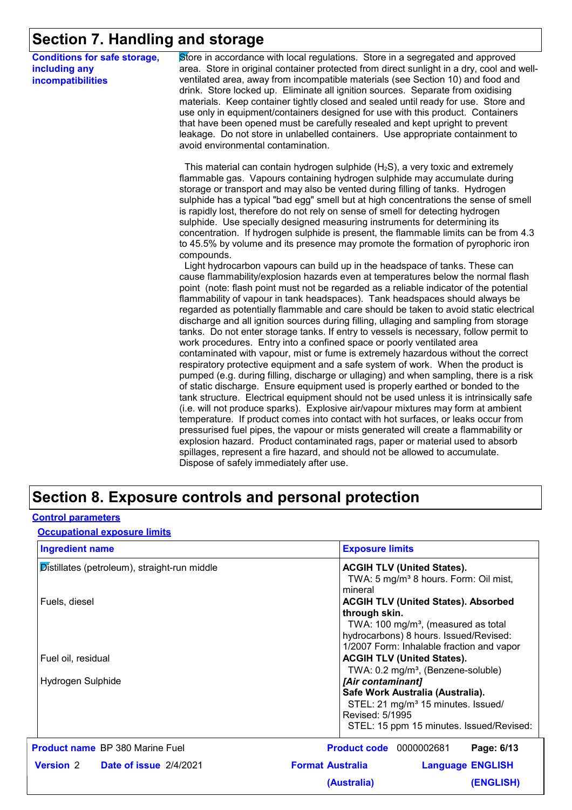## **Section 7. Handling and storage**

| <b>Conditions for safe storage,</b> |  |
|-------------------------------------|--|
| including any                       |  |
| incompatibilities                   |  |

Store in accordance with local regulations. Store in a segregated and approved area. Store in original container protected from direct sunlight in a dry, cool and wellventilated area, away from incompatible materials (see Section 10) and food and drink. Store locked up. Eliminate all ignition sources. Separate from oxidising materials. Keep container tightly closed and sealed until ready for use. Store and use only in equipment/containers designed for use with this product. Containers that have been opened must be carefully resealed and kept upright to prevent leakage. Do not store in unlabelled containers. Use appropriate containment to avoid environmental contamination.

This material can contain hydrogen sulphide  $(H<sub>2</sub>S)$ , a very toxic and extremely flammable gas. Vapours containing hydrogen sulphide may accumulate during storage or transport and may also be vented during filling of tanks. Hydrogen sulphide has a typical "bad egg" smell but at high concentrations the sense of smell is rapidly lost, therefore do not rely on sense of smell for detecting hydrogen sulphide. Use specially designed measuring instruments for determining its concentration. If hydrogen sulphide is present, the flammable limits can be from 4.3 to 45.5% by volume and its presence may promote the formation of pyrophoric iron compounds.

 Light hydrocarbon vapours can build up in the headspace of tanks. These can cause flammability/explosion hazards even at temperatures below the normal flash point (note: flash point must not be regarded as a reliable indicator of the potential flammability of vapour in tank headspaces). Tank headspaces should always be regarded as potentially flammable and care should be taken to avoid static electrical discharge and all ignition sources during filling, ullaging and sampling from storage tanks. Do not enter storage tanks. If entry to vessels is necessary, follow permit to work procedures. Entry into a confined space or poorly ventilated area contaminated with vapour, mist or fume is extremely hazardous without the correct respiratory protective equipment and a safe system of work. When the product is pumped (e.g. during filling, discharge or ullaging) and when sampling, there is a risk of static discharge. Ensure equipment used is properly earthed or bonded to the tank structure. Electrical equipment should not be used unless it is intrinsically safe (i.e. will not produce sparks). Explosive air/vapour mixtures may form at ambient temperature. If product comes into contact with hot surfaces, or leaks occur from pressurised fuel pipes, the vapour or mists generated will create a flammability or explosion hazard. Product contaminated rags, paper or material used to absorb spillages, represent a fire hazard, and should not be allowed to accumulate. Dispose of safely immediately after use.

#### **Section 8. Exposure controls and personal protection**

#### **Control parameters**

**Occupational exposure limits**

| <b>Ingredient name</b>                       | <b>Exposure limits</b>                                           |
|----------------------------------------------|------------------------------------------------------------------|
| Distillates (petroleum), straight-run middle | <b>ACGIH TLV (United States).</b>                                |
|                                              | TWA: 5 mg/m <sup>3</sup> 8 hours. Form: Oil mist,                |
|                                              | mineral                                                          |
| Fuels, diesel                                | <b>ACGIH TLV (United States). Absorbed</b>                       |
|                                              | through skin.<br>TWA: 100 mg/m <sup>3</sup> , (measured as total |
|                                              | hydrocarbons) 8 hours. Issued/Revised:                           |
|                                              | 1/2007 Form: Inhalable fraction and vapor                        |
| Fuel oil, residual                           | <b>ACGIH TLV (United States).</b>                                |
|                                              | TWA: 0.2 mg/m <sup>3</sup> , (Benzene-soluble)                   |
| Hydrogen Sulphide                            | [Air contaminant]                                                |
|                                              | Safe Work Australia (Australia).                                 |
|                                              | STEL: 21 mg/m <sup>3</sup> 15 minutes. Issued/                   |
|                                              | Revised: 5/1995                                                  |
|                                              | STEL: 15 ppm 15 minutes. Issued/Revised:                         |
| <b>Product name</b> BP 380 Marine Fuel       | <b>Product code</b> 0000002681<br>Page: 6/13                     |
| <b>Version 2 Date of issue 2/4/2021</b>      | <b>Format Australia</b><br><b>Language ENGLISH</b>               |
|                                              | (ENGLISH)<br>(Australia)                                         |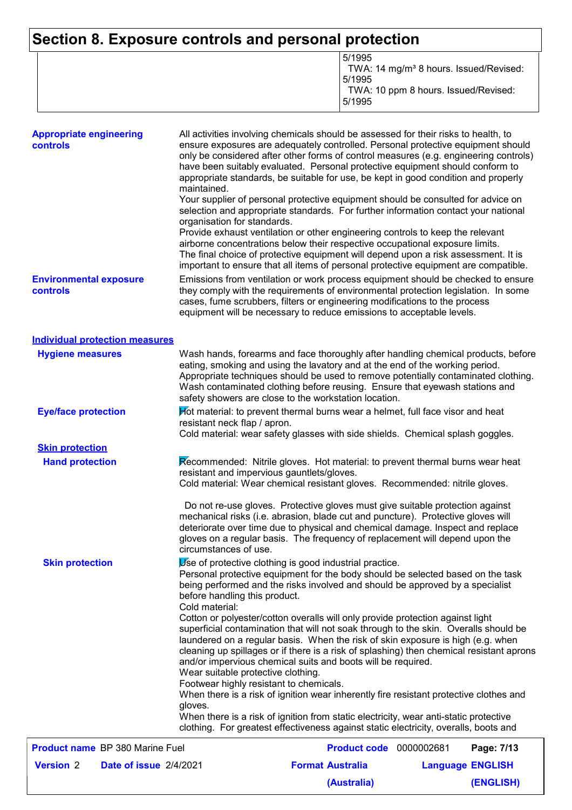## **Section 8. Exposure controls and personal protection**

|--|

| <b>Appropriate engineering</b><br>controls | All activities involving chemicals should be assessed for their risks to health, to<br>ensure exposures are adequately controlled. Personal protective equipment should<br>only be considered after other forms of control measures (e.g. engineering controls)<br>have been suitably evaluated. Personal protective equipment should conform to<br>appropriate standards, be suitable for use, be kept in good condition and properly<br>maintained.<br>Your supplier of personal protective equipment should be consulted for advice on<br>selection and appropriate standards. For further information contact your national<br>organisation for standards. |  |
|--------------------------------------------|----------------------------------------------------------------------------------------------------------------------------------------------------------------------------------------------------------------------------------------------------------------------------------------------------------------------------------------------------------------------------------------------------------------------------------------------------------------------------------------------------------------------------------------------------------------------------------------------------------------------------------------------------------------|--|
|                                            | Provide exhaust ventilation or other engineering controls to keep the relevant<br>airborne concentrations below their respective occupational exposure limits.<br>The final choice of protective equipment will depend upon a risk assessment. It is<br>important to ensure that all items of personal protective equipment are compatible.                                                                                                                                                                                                                                                                                                                    |  |
| <b>Environmental exposure</b><br>controls  | Emissions from ventilation or work process equipment should be checked to ensure<br>they comply with the requirements of environmental protection legislation. In some<br>cases, fume scrubbers, filters or engineering modifications to the process<br>equipment will be necessary to reduce emissions to acceptable levels.                                                                                                                                                                                                                                                                                                                                  |  |
| <b>Individual protection measures</b>      |                                                                                                                                                                                                                                                                                                                                                                                                                                                                                                                                                                                                                                                                |  |
| <b>Hygiene measures</b>                    | Wash hands, forearms and face thoroughly after handling chemical products, before<br>eating, smoking and using the lavatory and at the end of the working period.<br>Appropriate techniques should be used to remove potentially contaminated clothing.<br>Wash contaminated clothing before reusing. Ensure that eyewash stations and<br>safety showers are close to the workstation location.                                                                                                                                                                                                                                                                |  |
| <b>Eye/face protection</b>                 | Hot material: to prevent thermal burns wear a helmet, full face visor and heat<br>resistant neck flap / apron.<br>Cold material: wear safety glasses with side shields. Chemical splash goggles.                                                                                                                                                                                                                                                                                                                                                                                                                                                               |  |
| <b>Skin protection</b>                     |                                                                                                                                                                                                                                                                                                                                                                                                                                                                                                                                                                                                                                                                |  |
| <b>Hand protection</b>                     | Recommended: Nitrile gloves. Hot material: to prevent thermal burns wear heat<br>resistant and impervious gauntlets/gloves.<br>Cold material: Wear chemical resistant gloves. Recommended: nitrile gloves.                                                                                                                                                                                                                                                                                                                                                                                                                                                     |  |
|                                            | Do not re-use gloves. Protective gloves must give suitable protection against<br>mechanical risks (i.e. abrasion, blade cut and puncture). Protective gloves will<br>deteriorate over time due to physical and chemical damage. Inspect and replace<br>gloves on a regular basis. The frequency of replacement will depend upon the<br>circumstances of use.                                                                                                                                                                                                                                                                                                   |  |
| <b>Skin protection</b>                     | Use of protective clothing is good industrial practice.<br>Personal protective equipment for the body should be selected based on the task<br>being performed and the risks involved and should be approved by a specialist<br>before handling this product.<br>Cold material:                                                                                                                                                                                                                                                                                                                                                                                 |  |
|                                            | Cotton or polyester/cotton overalls will only provide protection against light<br>superficial contamination that will not soak through to the skin. Overalls should be<br>laundered on a regular basis. When the risk of skin exposure is high (e.g. when<br>cleaning up spillages or if there is a risk of splashing) then chemical resistant aprons<br>and/or impervious chemical suits and boots will be required.<br>Wear suitable protective clothing.<br>Footwear highly resistant to chemicals.<br>When there is a risk of ignition wear inherently fire resistant protective clothes and                                                               |  |
|                                            | gloves.<br>When there is a risk of ignition from static electricity, wear anti-static protective<br>clothing. For greatest effectiveness against static electricity, overalls, boots and                                                                                                                                                                                                                                                                                                                                                                                                                                                                       |  |
| <b>Product name BP 380 Marine Fuel</b>     | <b>Product code</b> 0000002681<br>Page: 7/13                                                                                                                                                                                                                                                                                                                                                                                                                                                                                                                                                                                                                   |  |
| <b>Version 2</b><br>Date of issue 2/4/2021 | <b>Format Australia</b><br><b>Language ENGLISH</b>                                                                                                                                                                                                                                                                                                                                                                                                                                                                                                                                                                                                             |  |

**(Australia)**

**(ENGLISH)**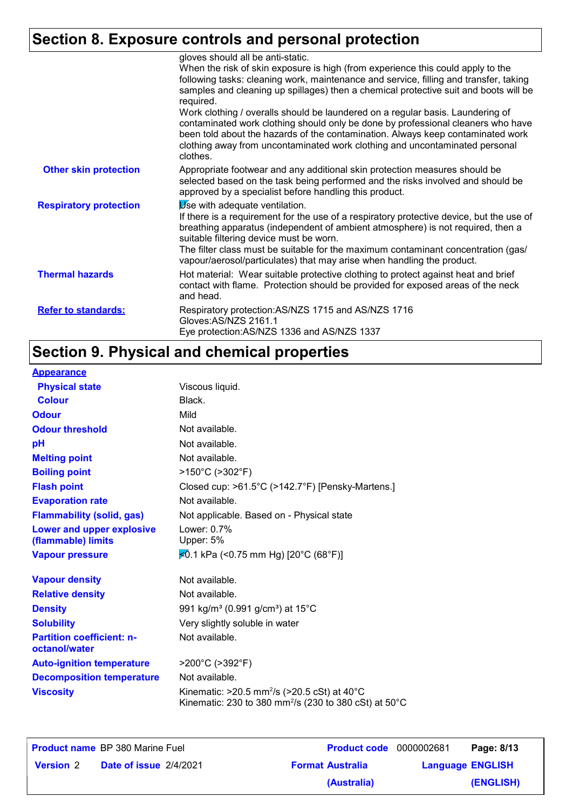# **Section 8. Exposure controls and personal protection**

|                               | gloves should all be anti-static.<br>When the risk of skin exposure is high (from experience this could apply to the<br>following tasks: cleaning work, maintenance and service, filling and transfer, taking<br>samples and cleaning up spillages) then a chemical protective suit and boots will be<br>required.<br>Work clothing / overalls should be laundered on a regular basis. Laundering of<br>contaminated work clothing should only be done by professional cleaners who have<br>been told about the hazards of the contamination. Always keep contaminated work<br>clothing away from uncontaminated work clothing and uncontaminated personal<br>clothes. |
|-------------------------------|------------------------------------------------------------------------------------------------------------------------------------------------------------------------------------------------------------------------------------------------------------------------------------------------------------------------------------------------------------------------------------------------------------------------------------------------------------------------------------------------------------------------------------------------------------------------------------------------------------------------------------------------------------------------|
| <b>Other skin protection</b>  | Appropriate footwear and any additional skin protection measures should be<br>selected based on the task being performed and the risks involved and should be<br>approved by a specialist before handling this product.                                                                                                                                                                                                                                                                                                                                                                                                                                                |
| <b>Respiratory protection</b> | Use with adequate ventilation.<br>If there is a requirement for the use of a respiratory protective device, but the use of<br>breathing apparatus (independent of ambient atmosphere) is not required, then a<br>suitable filtering device must be worn.<br>The filter class must be suitable for the maximum contaminant concentration (gas/<br>vapour/aerosol/particulates) that may arise when handling the product.                                                                                                                                                                                                                                                |
| <b>Thermal hazards</b>        | Hot material: Wear suitable protective clothing to protect against heat and brief<br>contact with flame. Protection should be provided for exposed areas of the neck<br>and head.                                                                                                                                                                                                                                                                                                                                                                                                                                                                                      |
| <b>Refer to standards:</b>    | Respiratory protection: AS/NZS 1715 and AS/NZS 1716<br>Gloves: AS/NZS 2161.1<br>Eye protection: AS/NZS 1336 and AS/NZS 1337                                                                                                                                                                                                                                                                                                                                                                                                                                                                                                                                            |

# **Section 9. Physical and chemical properties**

| <b>Appearance</b>                                 |                                                                                                                                                |
|---------------------------------------------------|------------------------------------------------------------------------------------------------------------------------------------------------|
| <b>Physical state</b>                             | Viscous liquid.                                                                                                                                |
| <b>Colour</b>                                     | Black.                                                                                                                                         |
| <b>Odour</b>                                      | Mild                                                                                                                                           |
| <b>Odour threshold</b>                            | Not available.                                                                                                                                 |
| pH                                                | Not available.                                                                                                                                 |
| <b>Melting point</b>                              | Not available.                                                                                                                                 |
| <b>Boiling point</b>                              | $>150^{\circ}$ C ( $>302^{\circ}$ F)                                                                                                           |
| <b>Flash point</b>                                | Closed cup: >61.5°C (>142.7°F) [Pensky-Martens.]                                                                                               |
| <b>Evaporation rate</b>                           | Not available.                                                                                                                                 |
| <b>Flammability (solid, gas)</b>                  | Not applicable. Based on - Physical state                                                                                                      |
| Lower and upper explosive<br>(flammable) limits   | Lower: 0.7%<br>Upper: 5%                                                                                                                       |
| <b>Vapour pressure</b>                            | $\angle 0.1$ kPa (<0.75 mm Hg) [20°C (68°F)]                                                                                                   |
| <b>Vapour density</b>                             | Not available.                                                                                                                                 |
| <b>Relative density</b>                           | Not available.                                                                                                                                 |
| <b>Density</b>                                    | 991 kg/m <sup>3</sup> (0.991 g/cm <sup>3</sup> ) at 15 <sup>°</sup> C                                                                          |
| <b>Solubility</b>                                 | Very slightly soluble in water                                                                                                                 |
| <b>Partition coefficient: n-</b><br>octanol/water | Not available.                                                                                                                                 |
| <b>Auto-ignition temperature</b>                  | >200°C (>392°F)                                                                                                                                |
| <b>Decomposition temperature</b>                  | Not available.                                                                                                                                 |
| <b>Viscosity</b>                                  | Kinematic: $>20.5$ mm <sup>2</sup> /s ( $>20.5$ cSt) at 40 <sup>°</sup> C<br>Kinematic: 230 to 380 mm <sup>2</sup> /s (230 to 380 cSt) at 50°C |

|                  | <b>Product name</b> BP 380 Marine Fuel | <b>Product code</b> 0000002681 |                         | Page: 8/13 |
|------------------|----------------------------------------|--------------------------------|-------------------------|------------|
| <b>Version 2</b> | <b>Date of issue 2/4/2021</b>          | <b>Format Australia</b>        | <b>Language ENGLISH</b> |            |
|                  |                                        | (Australia)                    |                         | (ENGLISH)  |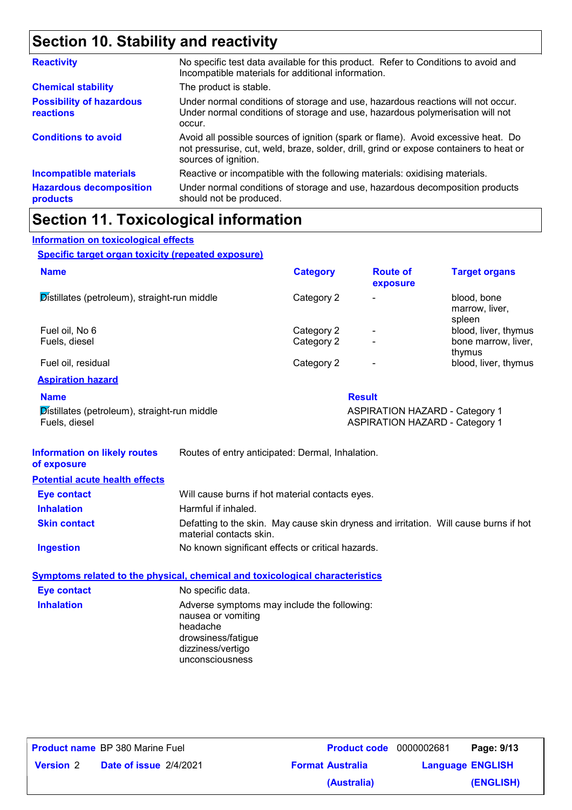## **Section 10. Stability and reactivity**

| <b>Reactivity</b>                            | No specific test data available for this product. Refer to Conditions to avoid and<br>Incompatible materials for additional information.                                                            |
|----------------------------------------------|-----------------------------------------------------------------------------------------------------------------------------------------------------------------------------------------------------|
| <b>Chemical stability</b>                    | The product is stable.                                                                                                                                                                              |
| <b>Possibility of hazardous</b><br>reactions | Under normal conditions of storage and use, hazardous reactions will not occur.<br>Under normal conditions of storage and use, hazardous polymerisation will not<br>occur.                          |
| <b>Conditions to avoid</b>                   | Avoid all possible sources of ignition (spark or flame). Avoid excessive heat. Do<br>not pressurise, cut, weld, braze, solder, drill, grind or expose containers to heat or<br>sources of ignition. |
| <b>Incompatible materials</b>                | Reactive or incompatible with the following materials: oxidising materials.                                                                                                                         |
| <b>Hazardous decomposition</b><br>products   | Under normal conditions of storage and use, hazardous decomposition products<br>should not be produced.                                                                                             |

## **Section 11. Toxicological information**

#### **Specific target organ toxicity (repeated exposure) Name Category** Distillates (petroleum), straight-run middle Category 2 - blood, bone marrow, liver, spleen Fuel oil, No 6 **Category 2** - blood, liver, thymus Category 2 - blood, liver, thymus Fuels, diesel bone marrow, liver, thymus Fuel oil, residual and the category 2 and category 2 category 2 category 2 blood, liver, thymus **Aspiration hazard Route of exposure Target organs Information on toxicological effects**

| <b>Name</b>                                  | <b>Result</b>                         |
|----------------------------------------------|---------------------------------------|
| Distillates (petroleum), straight-run middle | <b>ASPIRATION HAZARD - Category 1</b> |
| Fuels, diesel                                | <b>ASPIRATION HAZARD - Category 1</b> |

| <b>Information on likely routes</b><br>of exposure | Routes of entry anticipated: Dermal, Inhalation.                                                                 |  |
|----------------------------------------------------|------------------------------------------------------------------------------------------------------------------|--|
| <b>Potential acute health effects</b>              |                                                                                                                  |  |
| <b>Eye contact</b>                                 | Will cause burns if hot material contacts eyes.                                                                  |  |
| <b>Inhalation</b>                                  | Harmful if inhaled.                                                                                              |  |
| <b>Skin contact</b>                                | Defatting to the skin. May cause skin dryness and irritation. Will cause burns if hot<br>material contacts skin. |  |
| <b>Ingestion</b>                                   | No known significant effects or critical hazards.                                                                |  |

#### **Symptoms related to the physical, chemical and toxicological characteristics Inhalation Adverse symptoms may include the following:** nausea or vomiting headache drowsiness/fatigue dizziness/vertigo unconsciousness **Eye contact** No specific data.

**Product name** BP 380 Marine Fuel **Date of issue Version** 2 **Format Australia Language** 2/4/2021BP 380 Marine Fuel **Page: 9/13 Product code** 0000002681 **Language ENGLISH (ENGLISH) (Australia)**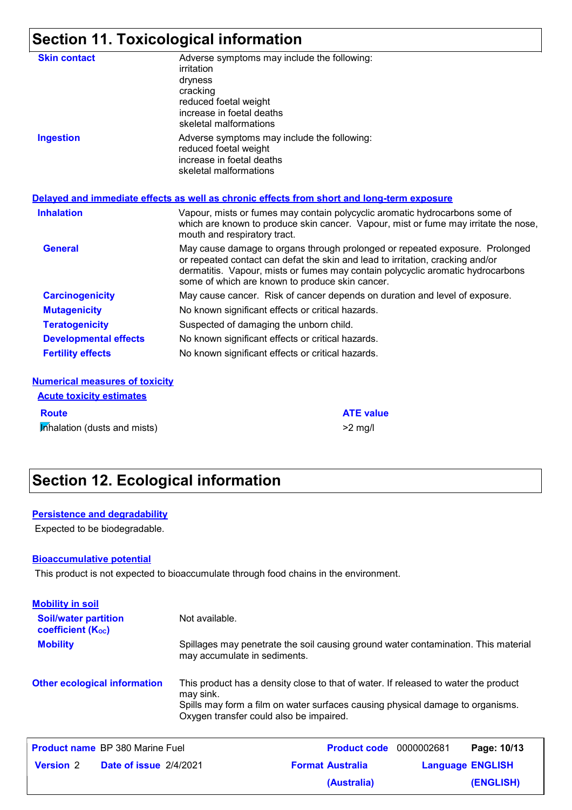# **Section 11. Toxicological information**

| <b>Skin contact</b>          | Adverse symptoms may include the following:<br>irritation<br>dryness<br>cracking<br>reduced foetal weight<br>increase in foetal deaths<br>skeletal malformations                                                                                                                                     |
|------------------------------|------------------------------------------------------------------------------------------------------------------------------------------------------------------------------------------------------------------------------------------------------------------------------------------------------|
| <b>Ingestion</b>             | Adverse symptoms may include the following:<br>reduced foetal weight<br>increase in foetal deaths<br>skeletal malformations                                                                                                                                                                          |
|                              | Delayed and immediate effects as well as chronic effects from short and long-term exposure                                                                                                                                                                                                           |
|                              |                                                                                                                                                                                                                                                                                                      |
| <b>Inhalation</b>            | Vapour, mists or fumes may contain polycyclic aromatic hydrocarbons some of<br>which are known to produce skin cancer. Vapour, mist or fume may irritate the nose,<br>mouth and respiratory tract.                                                                                                   |
| <b>General</b>               | May cause damage to organs through prolonged or repeated exposure. Prolonged<br>or repeated contact can defat the skin and lead to irritation, cracking and/or<br>dermatitis. Vapour, mists or fumes may contain polycyclic aromatic hydrocarbons<br>some of which are known to produce skin cancer. |
| <b>Carcinogenicity</b>       | May cause cancer. Risk of cancer depends on duration and level of exposure.                                                                                                                                                                                                                          |
| <b>Mutagenicity</b>          | No known significant effects or critical hazards.                                                                                                                                                                                                                                                    |
| <b>Teratogenicity</b>        | Suspected of damaging the unborn child.                                                                                                                                                                                                                                                              |
| <b>Developmental effects</b> | No known significant effects or critical hazards.                                                                                                                                                                                                                                                    |

| <b>Acute toxicity estimates</b>     |                  |
|-------------------------------------|------------------|
| <b>Route</b>                        | <b>ATE value</b> |
| <b>Inhalation (dusts and mists)</b> | $>2$ mg/         |

## **Section 12. Ecological information**

#### **Persistence and degradability**

Expected to be biodegradable.

#### **Bioaccumulative potential**

This product is not expected to bioaccumulate through food chains in the environment.

| <b>Mobility in soil</b>                                 |                                                                                                                                                                                                                               |
|---------------------------------------------------------|-------------------------------------------------------------------------------------------------------------------------------------------------------------------------------------------------------------------------------|
| <b>Soil/water partition</b><br><b>coefficient (Koc)</b> | Not available.                                                                                                                                                                                                                |
| <b>Mobility</b>                                         | Spillages may penetrate the soil causing ground water contamination. This material<br>may accumulate in sediments.                                                                                                            |
| <b>Other ecological information</b>                     | This product has a density close to that of water. If released to water the product<br>may sink.<br>Spills may form a film on water surfaces causing physical damage to organisms.<br>Oxygen transfer could also be impaired. |

|                  | <b>Product name</b> BP 380 Marine Fuel | <b>Product code</b> 0000002681 | Page: 10/13             |
|------------------|----------------------------------------|--------------------------------|-------------------------|
| <b>Version</b> 2 | <b>Date of issue 2/4/2021</b>          | <b>Format Australia</b>        | <b>Language ENGLISH</b> |
|                  |                                        | (Australia)                    | (ENGLISH)               |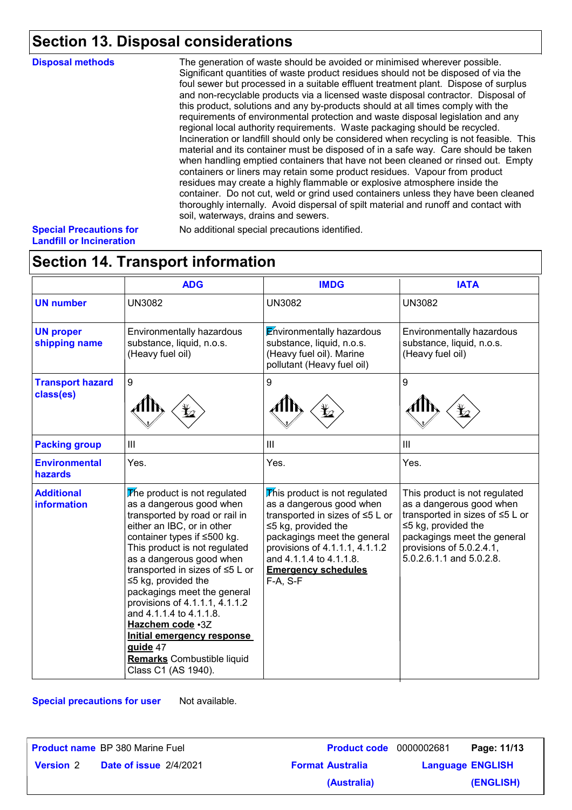## **Section 13. Disposal considerations**

| <b>Disposal methods</b>           | The generation of waste should be avoided or minimised wherever possible.<br>Significant quantities of waste product residues should not be disposed of via the<br>foul sewer but processed in a suitable effluent treatment plant. Dispose of surplus<br>and non-recyclable products via a licensed waste disposal contractor. Disposal of<br>this product, solutions and any by-products should at all times comply with the<br>requirements of environmental protection and waste disposal legislation and any<br>regional local authority requirements. Waste packaging should be recycled.<br>Incineration or landfill should only be considered when recycling is not feasible. This<br>material and its container must be disposed of in a safe way. Care should be taken<br>when handling emptied containers that have not been cleaned or rinsed out. Empty<br>containers or liners may retain some product residues. Vapour from product<br>residues may create a highly flammable or explosive atmosphere inside the<br>container. Do not cut, weld or grind used containers unless they have been cleaned<br>thoroughly internally. Avoid dispersal of spilt material and runoff and contact with<br>soil, waterways, drains and sewers. |
|-----------------------------------|------------------------------------------------------------------------------------------------------------------------------------------------------------------------------------------------------------------------------------------------------------------------------------------------------------------------------------------------------------------------------------------------------------------------------------------------------------------------------------------------------------------------------------------------------------------------------------------------------------------------------------------------------------------------------------------------------------------------------------------------------------------------------------------------------------------------------------------------------------------------------------------------------------------------------------------------------------------------------------------------------------------------------------------------------------------------------------------------------------------------------------------------------------------------------------------------------------------------------------------------------|
| <b>Outside District Constants</b> | المحتكا المستحلمة المستحققات والمستحدث والمستحققا والملحو الملا                                                                                                                                                                                                                                                                                                                                                                                                                                                                                                                                                                                                                                                                                                                                                                                                                                                                                                                                                                                                                                                                                                                                                                                      |

#### **Special Precautions for Landfill or Incineration**

No additional special precautions identified.

## **Section 14. Transport information**

|                                         | <b>ADG</b>                                                                                                                                                                                                                                                                                                                                                                                                                                                                                                       | <b>IMDG</b>                                                                                                                                                                                                                                                       | <b>IATA</b>                                                                                                                                                                                                           |
|-----------------------------------------|------------------------------------------------------------------------------------------------------------------------------------------------------------------------------------------------------------------------------------------------------------------------------------------------------------------------------------------------------------------------------------------------------------------------------------------------------------------------------------------------------------------|-------------------------------------------------------------------------------------------------------------------------------------------------------------------------------------------------------------------------------------------------------------------|-----------------------------------------------------------------------------------------------------------------------------------------------------------------------------------------------------------------------|
| <b>UN number</b>                        | <b>UN3082</b>                                                                                                                                                                                                                                                                                                                                                                                                                                                                                                    | <b>UN3082</b>                                                                                                                                                                                                                                                     | <b>UN3082</b>                                                                                                                                                                                                         |
| <b>UN proper</b><br>shipping name       | Environmentally hazardous<br>substance, liquid, n.o.s.<br>(Heavy fuel oil)                                                                                                                                                                                                                                                                                                                                                                                                                                       | <b>Environmentally hazardous</b><br>substance, liquid, n.o.s.<br>(Heavy fuel oil). Marine<br>pollutant (Heavy fuel oil)                                                                                                                                           | Environmentally hazardous<br>substance, liquid, n.o.s.<br>(Heavy fuel oil)                                                                                                                                            |
| <b>Transport hazard</b><br>class(es)    | $\boldsymbol{9}$                                                                                                                                                                                                                                                                                                                                                                                                                                                                                                 | 9                                                                                                                                                                                                                                                                 | 9                                                                                                                                                                                                                     |
| <b>Packing group</b>                    | III                                                                                                                                                                                                                                                                                                                                                                                                                                                                                                              | III                                                                                                                                                                                                                                                               | III                                                                                                                                                                                                                   |
| <b>Environmental</b><br>hazards         | Yes.                                                                                                                                                                                                                                                                                                                                                                                                                                                                                                             | Yes.                                                                                                                                                                                                                                                              | Yes.                                                                                                                                                                                                                  |
| <b>Additional</b><br><b>information</b> | The product is not regulated<br>as a dangerous good when<br>transported by road or rail in<br>either an IBC, or in other<br>container types if ≤500 kg.<br>This product is not regulated<br>as a dangerous good when<br>transported in sizes of $\leq 5$ L or<br>$\leq$ 5 kg, provided the<br>packagings meet the general<br>provisions of 4.1.1.1, 4.1.1.2<br>and 4.1.1.4 to 4.1.1.8.<br>Hazchem code .3Z<br>Initial emergency response<br>guide 47<br><b>Remarks</b> Combustible liquid<br>Class C1 (AS 1940). | This product is not regulated<br>as a dangerous good when<br>transported in sizes of ≤5 L or<br>$\leq$ 5 kg, provided the<br>packagings meet the general<br>provisions of 4.1.1.1, 4.1.1.2<br>and 4.1.1.4 to 4.1.1.8.<br><b>Emergency schedules</b><br>$F-A, S-F$ | This product is not regulated<br>as a dangerous good when<br>transported in sizes of ≤5 L or<br>$\leq$ 5 kg, provided the<br>packagings meet the general<br>provisions of 5.0.2.4.1,<br>$5.0.2.6.1.1$ and $5.0.2.8$ . |

**Special precautions for user** Not available.

|                  | <b>Product name</b> BP 380 Marine Fuel | <b>Product code</b> 0000002681 | Page: 11/13             |
|------------------|----------------------------------------|--------------------------------|-------------------------|
| <b>Version 2</b> | <b>Date of issue 2/4/2021</b>          | <b>Format Australia</b>        | <b>Language ENGLISH</b> |
|                  |                                        | (Australia)                    | (ENGLISH)               |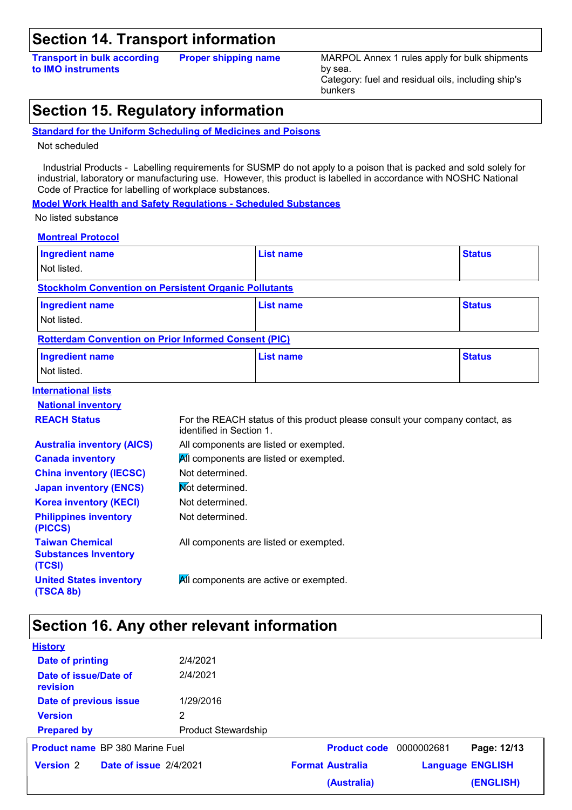### **Section 14. Transport information**

**Transport in bulk according to IMO instruments Proper shipping name** MARPOL Annex 1 rules apply for bulk shipments by sea. Category: fuel and residual oils, including ship's bunkers

## **Section 15. Regulatory information**

#### **Standard for the Uniform Scheduling of Medicines and Poisons**

Not scheduled

 Industrial Products - Labelling requirements for SUSMP do not apply to a poison that is packed and sold solely for industrial, laboratory or manufacturing use. However, this product is labelled in accordance with NOSHC National Code of Practice for labelling of workplace substances.

**Model Work Health and Safety Regulations - Scheduled Substances**

No listed substance

| <b>Montreal Protocol</b>                                        |                          |                                                                              |               |
|-----------------------------------------------------------------|--------------------------|------------------------------------------------------------------------------|---------------|
| <b>Ingredient name</b>                                          |                          | <b>List name</b>                                                             | <b>Status</b> |
| Not listed.                                                     |                          |                                                                              |               |
| <b>Stockholm Convention on Persistent Organic Pollutants</b>    |                          |                                                                              |               |
| <b>Ingredient name</b>                                          |                          | <b>List name</b>                                                             | <b>Status</b> |
| Not listed.                                                     |                          |                                                                              |               |
| <b>Rotterdam Convention on Prior Informed Consent (PIC)</b>     |                          |                                                                              |               |
| <b>Ingredient name</b>                                          |                          | <b>List name</b>                                                             | <b>Status</b> |
| Not listed.                                                     |                          |                                                                              |               |
| <b>International lists</b>                                      |                          |                                                                              |               |
| <b>National inventory</b>                                       |                          |                                                                              |               |
| <b>REACH Status</b>                                             | identified in Section 1. | For the REACH status of this product please consult your company contact, as |               |
| <b>Australia inventory (AICS)</b>                               |                          | All components are listed or exempted.                                       |               |
| <b>Canada inventory</b>                                         |                          | All components are listed or exempted.                                       |               |
| <b>China inventory (IECSC)</b>                                  | Not determined.          |                                                                              |               |
| <b>Japan inventory (ENCS)</b>                                   | Mot determined.          |                                                                              |               |
| <b>Korea inventory (KECI)</b>                                   | Not determined.          |                                                                              |               |
| <b>Philippines inventory</b><br>(PICCS)                         | Not determined.          |                                                                              |               |
| <b>Taiwan Chemical</b><br><b>Substances Inventory</b><br>(TCSI) |                          | All components are listed or exempted.                                       |               |
| <b>United States inventory</b><br>(TSCA 8b)                     |                          | All components are active or exempted.                                       |               |

#### **Section 16. Any other relevant information**

| <b>History</b>                         |                        |                            |                         |             |                         |
|----------------------------------------|------------------------|----------------------------|-------------------------|-------------|-------------------------|
| Date of printing                       |                        | 2/4/2021                   |                         |             |                         |
| Date of issue/Date of<br>revision      |                        | 2/4/2021                   |                         |             |                         |
| Date of previous issue                 |                        | 1/29/2016                  |                         |             |                         |
| <b>Version</b>                         |                        | 2                          |                         |             |                         |
| <b>Prepared by</b>                     |                        | <b>Product Stewardship</b> |                         |             |                         |
| <b>Product name</b> BP 380 Marine Fuel |                        | <b>Product code</b>        | 0000002681              | Page: 12/13 |                         |
|                                        |                        |                            |                         |             |                         |
| <b>Version 2</b>                       | Date of issue 2/4/2021 |                            | <b>Format Australia</b> |             | <b>Language ENGLISH</b> |